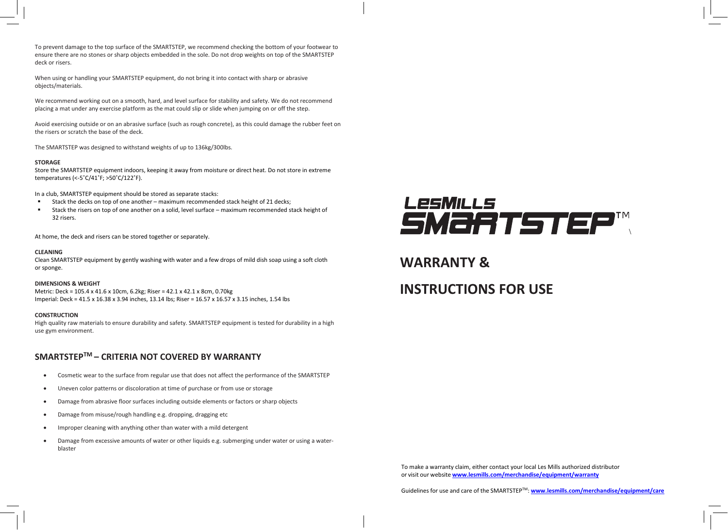To prevent damage to the top surface of the SMARTSTEP, we recommend checking the bottom of your footwear to ensure there are no stones or sharp objects embedded in the sole. Do not drop weights on top of the SMARTSTEP deck or risers.

When using or handling your SMARTSTEP equipment, do not bring it into contact with sharp or abrasive objects/materials.

We recommend working out on a smooth, hard, and level surface for stability and safety. We do not recommend placing a mat under any exercise platform as the mat could slip or slide when jumping on or off the step.

Avoid exercising outside or on an abrasive surface (such as rough concrete), as this could damage the rubber feet on the risers or scratch the base of the deck.

The SMARTSTEP was designed to withstand weights of up to 136kg/300lbs.

#### **STORAGE**

Store the SMARTSTEP equipment indoors, keeping it away from moisture or direct heat. Do not store in extreme temperatures (<-5˚C/41˚F; >50˚C/122˚F).

In a club, SMARTSTEP equipment should be stored as separate stacks:

- Stack the decks on top of one another maximum recommended stack height of 21 decks;
- Stack the risers on top of one another on a solid, level surface maximum recommended stack height of 32 risers.

At home, the deck and risers can be stored together or separately.

#### **CLEANING**

Clean SMARTSTEP equipment by gently washing with water and a few drops of mild dish soap using a soft cloth or sponge.

#### **DIMENSIONS & WEIGHT**

Metric: Deck = 105.4 x 41.6 x 10cm, 6.2kg; Riser = 42.1 x 42.1 x 8cm, 0.70kg Imperial: Deck = 41.5 x 16.38 x 3.94 inches, 13.14 lbs; Riser = 16.57 x 16.57 x 3.15 inches, 1.54 lbs

#### **CONSTRUCTION**

High quality raw materials to ensure durability and safety. SMARTSTEP equipment is tested for durability in a high use gym environment.

### **SMARTSTEPTM – CRITERIA NOT COVERED BY WARRANTY**

- Cosmetic wear to the surface from regular use that does not affect the performance of the SMARTSTEP
- Uneven color patterns or discoloration at time of purchase or from use or storage
- Damage from abrasive floor surfaces including outside elements or factors or sharp objects
- Damage from misuse/rough handling e.g. dropping, dragging etc
- Improper cleaning with anything other than water with a mild detergent
- Damage from excessive amounts of water or other liquids e.g. submerging under water or using a waterblaster



## **WARRANTY &**

# **INSTRUCTIONS FOR USE**

To make a warranty claim, either contact your local Les Mills authorized distributor or visit our website **[www.lesmills.com/merchandise/equipment/warranty](http://www.lesmills.com/merchandise/equipment/warranty)**

Guidelines for use and care of the SMARTSTEPTM: **[www.lesmills.com/merchandise/equipment/care](http://www.lesmills.com/merchandise/equipment/care)**